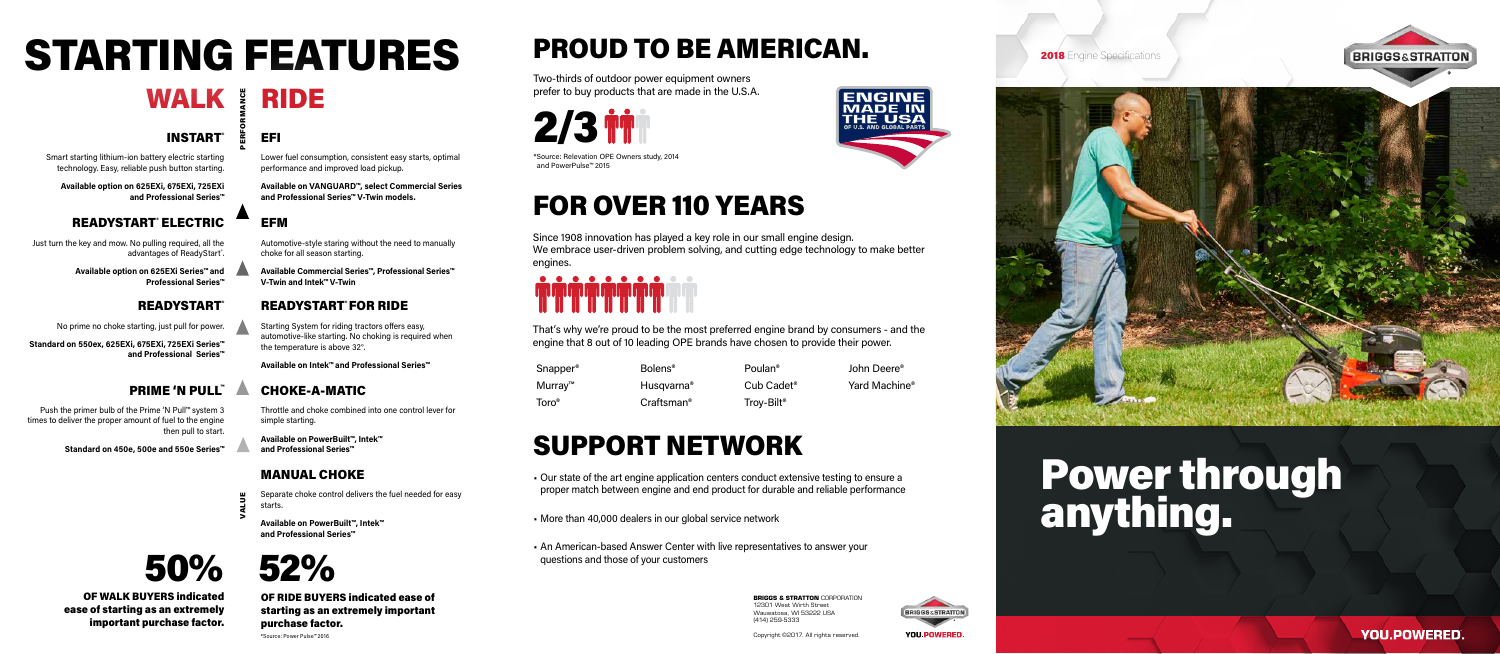### INSTART®

Smart starting lithium-ion battery electric starting technology. Easy, reliable push button starting.

**Available option on 625EXi, 675EXi, 725EXi and Professional Series™** 

### READYSTART® ELECTRIC

# STARTING FEATURES



\*Source: Power Pulse™ 2016

WALK & RIDE VALUE PERFORMANCE

### EFI

Lower fuel consumption, consistent easy starts, optimal performance and improved load pickup.

**Available on VANGUARD™, select Commercial Series and Professional Series™ V-Twin models.**

## PROUD TO BE AMERICAN.

- Our state of the art engine application centers conduct extensive testing to ensure a proper match between engine and end product for durable and reliable performance
- More than 40,000 dealers in our global service network
- An American-based Answer Center with live representatives to answer your 50% 52% questions and those of your customers



\*Source: Relevation OPE Owners study, 2014 and PowerPulse™ 2015

Poulan<sup>®</sup> Bolens® John Deere<sup>®</sup>

Troy-Bilt<sup>®</sup>

Cub Cadet<sup>®</sup> Yard Machine®



Two-thirds of outdoor power equipment owners prefer to buy products that are made in the U.S.A.

## FOR OVER 110 YEARS

That's why we're proud to be the most preferred engine brand by consumers - and the engine that 8 out of 10 leading OPE brands have chosen to provide their power.

| Snapper®      | <b>Bolens</b> <sup>®</sup> |
|---------------|----------------------------|
| Murray™       | Husqvarna <sup>®</sup>     |
| Toro $^\circ$ | Craftsman <sup>®</sup>     |

Since 1908 innovation has played a key role in our small engine design. We embrace user-driven problem solving, and cutting edge technology to make better engines.



## SUPPORT NETWORK

Just turn the key and mow. No pulling required, all the advantages of ReadyStart˚.

> OF WALK BUYERS indicated ease of starting as an extremely important purchase factor.

OF RIDE BUYERS indicated ease of starting as an extremely important purchase factor.

# Power through anything.

**YOU.POWERED.** 



**BRIGGS & STRATTON** CORPORATION 12301 West Wirth Street Wauwatosa, WI 53222 USA (414) 259-5333

Copyright ©2017. All rights reserved.



**YOU POWERED** 

**2018** Engine Specifications





#### MANUAL CHOKE

Separate choke control delivers the fuel needed for easy starts.

**Available on PowerBuilt™, Intek™ and Professional Series™**

#### EFM

Automotive-style staring without the need to manually choke for all season starting.

**Available Commercial Series™, Professional Series™ V-Twin and Intek™ V-Twin**

Push the primer bulb of the Prime 'N Pull™ system 3 times to deliver the proper amount of fuel to the engine then pull to start.

**Standard on 450e, 500e and 550e Series™**

**Available option on 625EXi Series™ and Professional Series™**

#### **READYSTART®**

#### READYSTART® FOR RIDE

Starting System for riding tractors offers easy, automotive-like starting. No choking is required when the temperature is above 32°.

**Available on Intek™ and Professional Series™**

#### CHOKE-A-MATIC

Throttle and choke combined into one control lever for simple starting.

**Available on PowerBuilt™, Intek™ and Professional Series™**

No prime no choke starting, just pull for power.

**Standard on 550ex, 625EXi, 675EXi, 725EXi Series™ and Professional Series™**

#### PRIME 'N PULL™